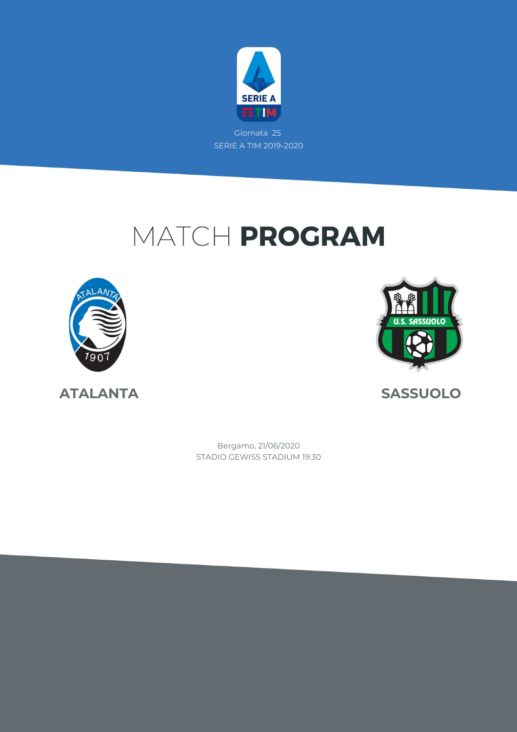

Giornata 25 SERIE A TIM 2019-2020

# MATCH PROGRAM





**ATALANTA SASSUOLO**

STADIO GEWISS STADIUM 19:30 Bergamo, 21/06/2020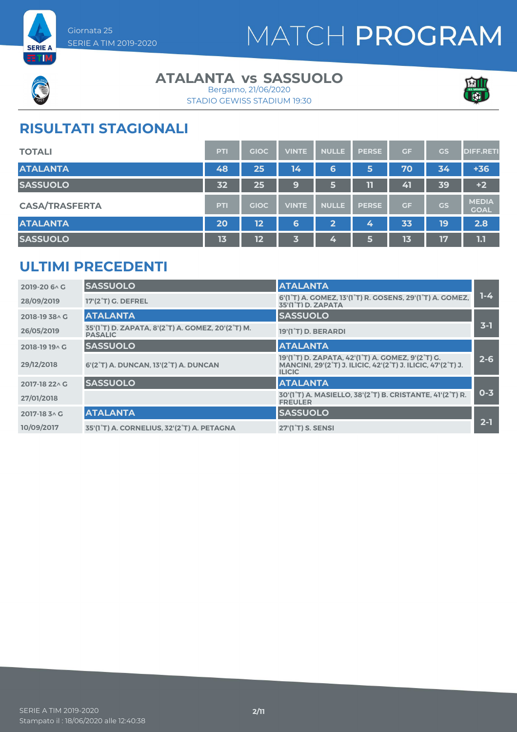



#### **ATALANTA vs SASSUOLO**



STADIO GEWISS STADIUM 19:30 Bergamo, 21/06/2020

### **RISULTATI STAGIONALI**

| <b>TOTALI</b>         | PTI | <b>GIOC</b> | <b>VINTE</b> | <b>NULLE</b> | <b>PERSE</b> | <b>GF</b> | GS | <b>DIFF.RETI</b>            |
|-----------------------|-----|-------------|--------------|--------------|--------------|-----------|----|-----------------------------|
| <b>ATALANTA</b>       | 48  | 25          | 14           | 6            | 5            | 70        | 34 | $+36$                       |
| <b>SASSUOLO</b>       | 32  | 25          | 9            | 6            | 11           | 41        | 39 | $+2$                        |
| <b>CASA/TRASFERTA</b> | PTI | <b>GIOC</b> | <b>VINTE</b> | <b>NULLE</b> | <b>PERSE</b> | <b>GF</b> | GS | <b>MEDIA</b><br><b>GOAL</b> |
| <b>ATALANTA</b>       | 20  | 12          | 6            | $\mathbf{2}$ | 4            | 33        | 19 | 2.8                         |
| <b>SASSUOLO</b>       | 13  | 12          | 3            | 4            | 5            | 13        | 17 | 1.1                         |

### **ULTIMI PRECEDENTI**

| 2019-20 6 \ G  | <b>SASSUOLO</b>                                                     | <b>ATALANTA</b>                                                                                                                    |         |
|----------------|---------------------------------------------------------------------|------------------------------------------------------------------------------------------------------------------------------------|---------|
| 28/09/2019     | 17'(2 <sup>°</sup> T) G. DEFREL                                     | 6'(1 <sup>°</sup> T) A. COMEZ, 13'(1 <sup>°</sup> T) R. COSENS, 29'(1 <sup>°</sup> T) A. COMEZ,<br>35'(1°T) D. ZAPATA              | $1-4$   |
| 2018-19 38 A G | <b>ATALANTA</b>                                                     | <b>SASSUOLO</b>                                                                                                                    |         |
| 26/05/2019     | 35'(1°T) D. ZAPATA, 8'(2°T) A. GOMEZ, 20'(2°T) M.<br><b>PASALIC</b> | 19'(1°T) D. BERARDI                                                                                                                | $3-1$   |
| 2018-19 19 A G | <b>SASSUOLO</b>                                                     | <b>ATALANTA</b>                                                                                                                    |         |
| 29/12/2018     | 6'(2°T) A. DUNCAN, 13'(2°T) A. DUNCAN                               | 19'(1°T) D. ZAPATA, 42'(1°T) A. GOMEZ, 9'(2°T) G.<br>MANCINI, 29'(2°T) J. ILICIC, 42'(2°T) J. ILICIC, 47'(2°T) J.<br><b>ILICIC</b> | $2 - 6$ |
| 2017-18 22 \ G | <b>SASSUOLO</b>                                                     | <b>ATALANTA</b>                                                                                                                    |         |
| 27/01/2018     |                                                                     | 30'(1°T) A. MASIELLO, 38'(2°T) B. CRISTANTE, 41'(2°T) R.<br><b>FREULER</b>                                                         | $0 - 3$ |
| 2017-18 3 ^ G  | <b>ATALANTA</b>                                                     | <b>SASSUOLO</b>                                                                                                                    |         |
| 10/09/2017     | 35'(1°T) A. CORNELIUS, 32'(2°T) A. PETAGNA                          | 27'(1 <sup>°</sup> T) S. SENSI                                                                                                     | $2-1$   |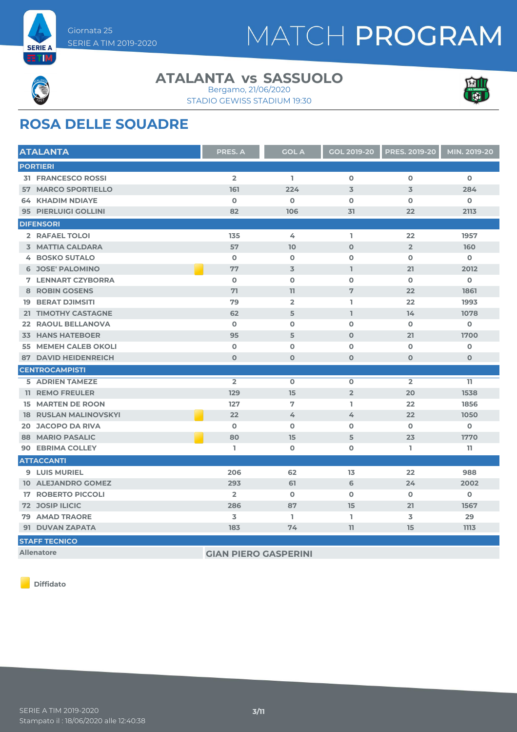



#### **ATALANTA vs SASSUOLO**





### **ROSA DELLE SQUADRE**

| <b>ATALANTA</b>              | <b>PRES. A</b> | <b>GOL A</b>   | <b>GOL 2019-20</b>      | <b>PRES. 2019-20</b> | MIN. 2019-20 |
|------------------------------|----------------|----------------|-------------------------|----------------------|--------------|
| <b>PORTIERI</b>              |                |                |                         |                      |              |
| <b>31 FRANCESCO ROSSI</b>    | $\overline{2}$ | L.             | $\overline{\mathbf{o}}$ | $\mathbf 0$          | $\mathbf 0$  |
| <b>57 MARCO SPORTIELLO</b>   | 161            | 224            | 3                       | $\overline{3}$       | 284          |
| <b>64 KHADIM NDIAYE</b>      | $\mathbf 0$    | $\Omega$       | $\mathbf 0$             | $\mathbf 0$          | $\mathbf 0$  |
| 95 PIERLUIGI GOLLINI         | 82             | 106            | 31                      | 22                   | 2113         |
| <b>DIFENSORI</b>             |                |                |                         |                      |              |
| 2 RAFAEL TOLOI               | 135            | 4              | L.                      | 22                   | 1957         |
| <b>3 MATTIA CALDARA</b>      | 57             | 10             | $\mathbf 0$             | $\overline{2}$       | 160          |
| <b>4 BOSKO SUTALO</b>        | $\mathbf 0$    | $\mathbf 0$    | $\mathbf 0$             | $\mathbf 0$          | $\mathbf o$  |
| <b>6 JOSE' PALOMINO</b>      | 77             | 3              | $\mathbb{I}$            | 21                   | 2012         |
| <b>7 LENNART CZYBORRA</b>    | $\mathbf 0$    | $\mathbf 0$    | $\mathbf 0$             | $\mathbf 0$          | $\mathbf 0$  |
| <b>8 ROBIN GOSENS</b>        | 71             | 11             | 7                       | 22                   | 1861         |
| <b>19 BERAT DJIMSITI</b>     | 79             | $\overline{2}$ | L                       | 22                   | 1993         |
| 21 TIMOTHY CASTAGNE          | 62             | 5              | L                       | 14                   | 1078         |
| 22 RAOUL BELLANOVA           | $\mathbf 0$    | $\mathbf 0$    | $\mathbf 0$             | $\mathbf 0$          | $\mathbf o$  |
| <b>33 HANS HATEBOER</b>      | 95             | 5              | $\mathbf 0$             | 21                   | 1700         |
| 55 MEMEH CALEB OKOLI         | $\mathbf 0$    | 0              | $\mathbf 0$             | $\mathbf 0$          | 0            |
| <b>87 DAVID HEIDENREICH</b>  | $\mathbf 0$    | $\mathbf 0$    | $\mathbf 0$             | $\mathbf 0$          | $\mathbf 0$  |
| <b>CENTROCAMPISTI</b>        |                |                |                         |                      |              |
| <b>5 ADRIEN TAMEZE</b>       | $\overline{2}$ | $\mathbf 0$    | $\mathbf 0$             | $\overline{2}$       | 11           |
| <b>11 REMO FREULER</b>       | 129            | 15             | $\overline{2}$          | 20                   | 1538         |
| <b>15 MARTEN DE ROON</b>     | 127            | 7              | L.                      | 22                   | 1856         |
| <b>18 RUSLAN MALINOVSKYI</b> | 22             | 4              | 4                       | 22                   | 1050         |
| <b>20 JACOPO DA RIVA</b>     | $\Omega$       | $\mathbf 0$    | $\mathbf 0$             | $\mathbf 0$          | $\mathbf 0$  |
| <b>88 MARIO PASALIC</b>      | 80             | 15             | 5                       | 23                   | 1770         |
| <b>90 EBRIMA COLLEY</b>      | L              | 0              | $\mathbf 0$             | L                    | 11           |
| <b>ATTACCANTI</b>            |                |                |                         |                      |              |
| <b>9 LUIS MURIEL</b>         | 206            | 62             | 13                      | 22                   | 988          |
| <b>10 ALEJANDRO GOMEZ</b>    | 293            | 61             | 6                       | 24                   | 2002         |
| <b>17 ROBERTO PICCOLI</b>    | $\overline{2}$ | $\mathbf 0$    | $\mathbf 0$             | $\mathbf 0$          | $\mathbf o$  |
| <b>72 JOSIP ILICIC</b>       | 286            | 87             | 15                      | 21                   | 1567         |
| <b>79 AMAD TRAORE</b>        | 3              | L              | L                       | 3                    | 29           |
| 91 DUVAN ZAPATA              | 183            | 74             | 11                      | 15                   | 1113         |
| <b>STAFF TECNICO</b>         |                |                |                         |                      |              |
| $-11$ $-1$                   |                |                |                         |                      |              |

**Allenatore GIAN PIERO GASPERINI**

**Diffidato**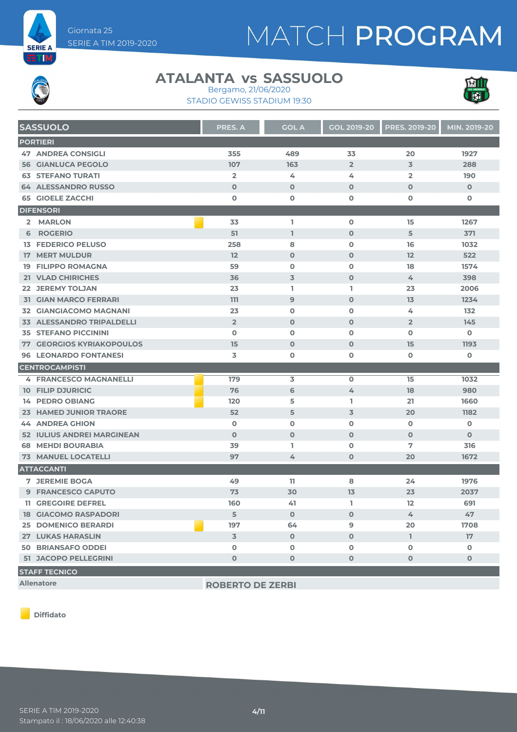



#### **ATALANTA vs SASSUOLO** Bergamo, 21/06/2020





| <b>SASSUOLO</b>                  | <b>PRES. A</b> | <b>GOL A</b> | <b>GOL 2019-20</b> | <b>PRES. 2019-20</b> | MIN. 2019-20 |
|----------------------------------|----------------|--------------|--------------------|----------------------|--------------|
| <b>PORTIERI</b>                  |                |              |                    |                      |              |
| <b>47 ANDREA CONSIGLI</b>        | 355            | 489          | 33                 | 20                   | 1927         |
| <b>56 GIANLUCA PEGOLO</b>        | 107            | 163          | $\overline{2}$     | $\overline{3}$       | 288          |
| <b>63 STEFANO TURATI</b>         | $\overline{2}$ | 4            | 4                  | $\overline{2}$       | 190          |
| <b>64 ALESSANDRO RUSSO</b>       | $\mathbf 0$    | $\Omega$     | $\Omega$           | $\Omega$             | $\mathbf{O}$ |
| <b>65 GIOELE ZACCHI</b>          | $\mathbf 0$    | $\mathbf 0$  | 0                  | $\mathbf 0$          | 0            |
| <b>DIFENSORI</b>                 |                |              |                    |                      |              |
| 2 MARLON                         | 33             | L.           | $\mathbf 0$        | 15                   | 1267         |
| 6 ROGERIO                        | 51             | $\mathbf{I}$ | $\mathbf 0$        | 5                    | 371          |
| <b>13 FEDERICO PELUSO</b>        | 258            | 8            | $\mathbf 0$        | 16                   | 1032         |
| <b>17 MERT MULDUR</b>            | 12             | $\mathbf 0$  | $\mathbf 0$        | 12                   | 522          |
| <b>19 FILIPPO ROMAGNA</b>        | 59             | $\mathbf 0$  | 0                  | 18                   | 1574         |
| 21 VLAD CHIRICHES                | 36             | 3            | $\mathbf 0$        | 4                    | 398          |
| <b>22 JEREMY TOLJAN</b>          | 23             | L.           | I.                 | 23                   | 2006         |
| <b>31 GIAN MARCO FERRARI</b>     | 111            | 9            | $\mathbf 0$        | 13                   | 1234         |
| <b>32 GIANGIACOMO MAGNANI</b>    | 23             | $\mathbf 0$  | $\mathbf 0$        | 4                    | 132          |
| <b>33 ALESSANDRO TRIPALDELLI</b> | $\overline{2}$ | $\mathbf 0$  | $\mathbf 0$        | $\overline{2}$       | 145          |
| <b>35 STEFANO PICCININI</b>      | $\Omega$       | $\mathbf 0$  | $\mathbf 0$        | $\mathbf 0$          | $\mathbf 0$  |
| <b>77 GEORGIOS KYRIAKOPOULOS</b> | 15             | $\mathbf 0$  | $\mathbf 0$        | 15                   | 1193         |
| <b>96 LEONARDO FONTANESI</b>     | 3              | O            | 0                  | $\mathbf 0$          | $\mathbf 0$  |
| <b>CENTROCAMPISTI</b>            |                |              |                    |                      |              |
| <b>4 FRANCESCO MAGNANELLI</b>    | 179            | 3            | $\mathbf 0$        | 15                   | 1032         |
| <b>10 FILIP DJURICIC</b>         | 76             | 6            | 4                  | 18                   | 980          |
| <b>14 PEDRO OBIANG</b>           | 120            | 5            | L                  | 21                   | 1660         |
| 23 HAMED JUNIOR TRAORE           | 52             | 5            | 3                  | 20                   | 1182         |
| <b>44 ANDREA GHION</b>           | $\mathbf 0$    | $\mathbf o$  | $\mathbf 0$        | $\mathbf 0$          | 0            |
| 52 IULIUS ANDREI MARGINEAN       | $\Omega$       | $\mathbf 0$  | $\mathbf 0$        | $\mathbf 0$          | $\mathbf 0$  |
| <b>68 MEHDI BOURABIA</b>         | 39             | L.           | $\mathbf 0$        | 7                    | 316          |
| <b>73 MANUEL LOCATELLI</b>       | 97             | 4            | $\mathbf 0$        | 20                   | 1672         |
| <b>ATTACCANTI</b>                |                |              |                    |                      |              |
| <b>7 JEREMIE BOGA</b>            | 49             | 11           | 8                  | 24                   | 1976         |
| 9 FRANCESCO CAPUTO               | 73             | 30           | 13                 | 23                   | 2037         |
| <b>11 GREGOIRE DEFREL</b>        | 160            | 41           | ı.                 | 12                   | 691          |
| <b>18 GIACOMO RASPADORI</b>      | 5              | $\mathbf 0$  | $\mathbf 0$        | 4                    | 47           |
| <b>25 DOMENICO BERARDI</b>       | 197            | 64           | 9                  | 20                   | 1708         |
| <b>27 LUKAS HARASLIN</b>         | $\overline{3}$ | $\mathbf 0$  | $\mathbf 0$        | L.                   | 17           |
| <b>50 BRIANSAFO ODDEI</b>        | $\mathbf 0$    | $\mathbf 0$  | 0                  | $\mathbf 0$          | $\mathbf 0$  |
| <b>51 JACOPO PELLEGRINI</b>      | $\mathbf 0$    | $\mathbf 0$  | $\mathbf 0$        | $\mathbf 0$          | $\mathbf 0$  |
| <b>STAFF TECNICO</b>             |                |              |                    |                      |              |

**Allenatore ROBERTO DE ZERBI**

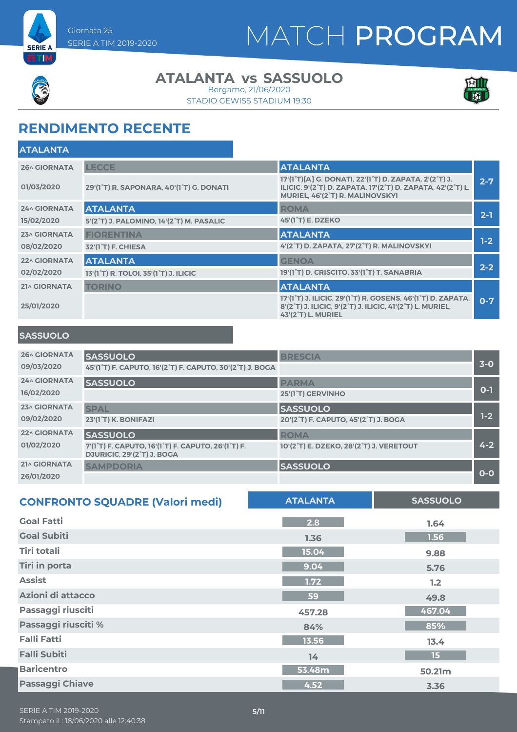



### **ATALANTA vs SASSUOLO**

STADIO GEWISS STADIUM 19:30 Bergamo, 21/06/2020



### **RENDIMENTO RECENTE**

| <b>LECCE</b>                                                    | <b>ATALANTA</b>                                                                                                                                                                               |         |
|-----------------------------------------------------------------|-----------------------------------------------------------------------------------------------------------------------------------------------------------------------------------------------|---------|
| 29'(1°T) R. SAPONARA, 40'(1°T) G. DONATI                        | 17'(1°T)[A] G. DONATI, 22'(1°T) D. ZAPATA, 2'(2°T) J.<br>ILICIC, 9'(2 <sup>°</sup> T) D. ZAPATA, 17'(2 <sup>°</sup> T) D. ZAPATA, 42'(2 <sup>°</sup> T) L.<br>MURIEL, 46'(2°T) R. MALINOVSKYI | $2 - 7$ |
| <b>ATALANTA</b>                                                 | <b>ROMA</b>                                                                                                                                                                                   |         |
| 5'(2°T) J. PALOMINO, 14'(2°T) M. PASALIC                        | 45'(1 <sup>°</sup> T) E. DZEKO                                                                                                                                                                | $2 - 1$ |
| <b>FIORENTINA</b>                                               | <b>ATALANTA</b>                                                                                                                                                                               |         |
| 32'(1 <sup>°</sup> T) F. CHIESA                                 | 4'(2°T) D. ZAPATA, 27'(2°T) R. MALINOVSKYI                                                                                                                                                    | $1-2$   |
| <b>ATALANTA</b>                                                 | <b>GENOA</b>                                                                                                                                                                                  |         |
| 13'(1 <sup>°</sup> T) R. TOLOI, 35'(1 <sup>°</sup> T) J. ILICIC | 19'(1 <sup>°</sup> T) D. CRISCITO, 33'(1 <sup>°</sup> T) T. SANABRIA                                                                                                                          | $2 - 2$ |
| <b>TORINO</b>                                                   | <b>ATALANTA</b>                                                                                                                                                                               |         |
|                                                                 | 17'(1 <sup>°</sup> T) J. ILICIC, 29'(1 <sup>°</sup> T) R. GOSENS, 46'(1 <sup>°</sup> T) D. ZAPATA,<br>8'(2°T) J. ILICIC, 9'(2°T) J. ILICIC, 41'(2°T) L. MURIEL,<br><b>43'(2°T) L. MURIEL</b>  | $0-7$   |
|                                                                 |                                                                                                                                                                                               |         |

#### **SASSUOLO**

| <b>26^ GIORNATA</b> | <b>SASSUOLO</b>                                                                                                                      | <b>BRESCIA</b>                          |         |
|---------------------|--------------------------------------------------------------------------------------------------------------------------------------|-----------------------------------------|---------|
| 09/03/2020          | 45'(1°T) F. CAPUTO, 16'(2°T) F. CAPUTO, 30'(2°T) J. BOGA                                                                             |                                         | $3-0$   |
| <b>24^ GIORNATA</b> | <b>SASSUOLO</b>                                                                                                                      | <b>PARMA</b>                            |         |
| 16/02/2020          |                                                                                                                                      | 25'(1 <sup>°</sup> T) GERVINHO          | $0 - 1$ |
| 23^ GIORNATA        | <b>SPAL</b>                                                                                                                          | <b>SASSUOLO</b>                         |         |
| 09/02/2020          | 23'(1°T) K. BONIFAZI                                                                                                                 | 20'(2°T) F. CAPUTO, 45'(2°T) J. BOGA    | $1-2$   |
| <b>22^ GIORNATA</b> | <b>SASSUOLO</b>                                                                                                                      | <b>ROMA</b>                             |         |
| 01/02/2020          | 7'(1 <sup>°</sup> T) F. CAPUTO, 16'(1 <sup>°</sup> T) F. CAPUTO, 26'(1 <sup>°</sup> T) F.<br>DJURICIC, 29'(2 <sup>°</sup> T) J. BOGA | 10'(2°T) E. DZEKO, 28'(2°T) J. VERETOUT | $4 - 2$ |
| 21^ GIORNATA        | <b>SAMPDORIA</b>                                                                                                                     | <b>SASSUOLO</b>                         |         |
| 26/01/2020          |                                                                                                                                      |                                         | $O-O$   |

| <b>CONFRONTO SQUADRE (Valori medi)</b> | <b>ATALANTA</b> | <b>SASSUOLO</b> |
|----------------------------------------|-----------------|-----------------|
| <b>Goal Fatti</b>                      | 2.8             | 1.64            |
| <b>Goal Subiti</b>                     | 1.36            | 1.56            |
| Tiri totali                            | 15.04           | 9.88            |
| <b>Tiri in porta</b>                   | 9.04            | 5.76            |
| <b>Assist</b>                          | 1.72            | 1.2             |
| Azioni di attacco                      | 59              | 49.8            |
| Passaggi riusciti                      | 457.28          | 467.04          |
| Passaggi riusciti %                    | 84%             | 85%             |
| <b>Falli Fatti</b>                     | 13.56           | 13.4            |
| <b>Falli Subiti</b>                    | 14              | 15              |
| <b>Baricentro</b>                      | 53.48m          | 50.21m          |
| <b>Passaggi Chiave</b>                 | 4.52            | 3.36            |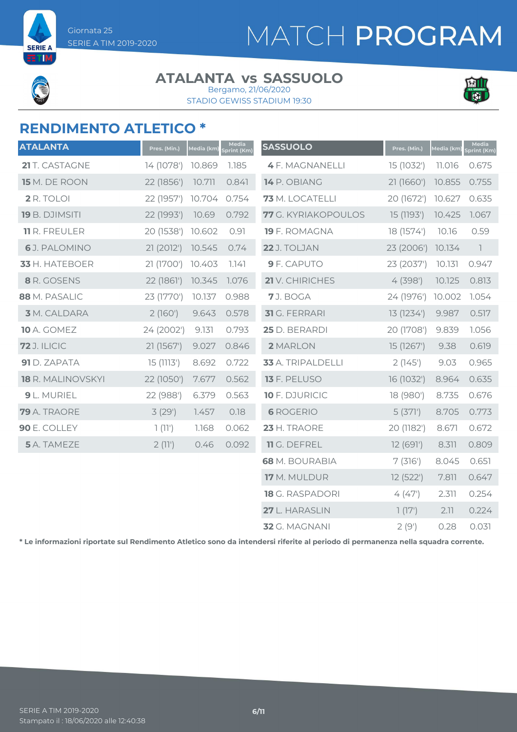

**SERIE** ETIM

#### **ATALANTA vs SASSUOLO** Bergamo, 21/06/2020

STADIO GEWISS STADIUM 19:30



### **RENDIMENTO ATLETICO \***

| <b>ATALANTA</b>      | Pres. (Min.) | Media (km) | Media<br>Sprint (Km) | <b>SASSUOLO</b>        | Pres. (Min.) | Media (km) | Media<br>Sprint (Km)     |
|----------------------|--------------|------------|----------------------|------------------------|--------------|------------|--------------------------|
| 21 T. CASTAGNE       | 14 (1078')   | 10.869     | 1.185                | <b>4 F. MAGNANELLI</b> | 15 (1032')   | 11.016     | 0.675                    |
| 15 M. DE ROON        | 22 (1856')   | 10.711     | 0.841                | 14 P. OBIANG           | 21 (1660')   | 10.855     | 0.755                    |
| 2 R. TOLOI           | 22 (1957')   | 10.704     | 0.754                | 73 M. LOCATELLI        | 20 (1672')   | 10.627     | 0.635                    |
| 19 B. DJIMSITI       | 22 (1993')   | 10.69      | 0.792                | 77 G. KYRIAKOPOULOS    | 15 (1193')   | 10.425     | 1.067                    |
| <b>11</b> R. FREULER | 20 (1538')   | 10.602     | 0.91                 | 19 F. ROMAGNA          | 18 (1574')   | 10.16      | 0.59                     |
| 6J. PALOMINO         | 21 (2012')   | 10.545     | 0.74                 | 22 J. TOLJAN           | 23 (2006')   | 10.134     | $\overline{\phantom{a}}$ |
| 33 H. HATEBOER       | 21 (1700')   | 10.403     | 7.747                | 9 F. CAPUTO            | 23 (2037')   | 10.131     | 0.947                    |
| 8 R. GOSENS          | 22 (1861')   | 10.345     | 1.076                | 21 V. CHIRICHES        | 4(398)       | 10.125     | 0.813                    |
| 88 M. PASALIC        | 23 (1770')   | 10.137     | 0.988                | 7J. BOGA               | 24 (1976')   | 10.002     | 1.054                    |
| <b>3</b> M. CALDARA  | 2(160')      | 9.643      | 0.578                | <b>31</b> G. FERRARI   | 13 (1234')   | 9.987      | 0.517                    |
| <b>10</b> A. GOMEZ   | 24 (2002')   | 9.131      | 0.793                | 25 D. BERARDI          | 20 (1708')   | 9.839      | 1.056                    |
| <b>72</b> J. ILICIC  | 21 (1567')   | 9.027      | 0.846                | 2 MARLON               | 15 (1267')   | 9.38       | 0.619                    |
| 91 D. ZAPATA         | 15(1113')    | 8.692      | 0.722                | 33 A. TRIPALDELLI      | 2(145)       | 9.03       | 0.965                    |
| 18 R. MALINOVSKYI    | 22 (1050')   | 7.677      | 0.562                | 13 F. PELUSO           | 16 (1032')   | 8.964      | 0.635                    |
| 9 L. MURIEL          | 22 (988')    | 6.379      | 0.563                | 10 F. DJURICIC         | 18 (980')    | 8.735      | 0.676                    |
| 79 A. TRAORE         | 3(29)        | 1.457      | 0.18                 | <b>6 ROGERIO</b>       | 5(371)       | 8.705      | 0.773                    |
| 90 E. COLLEY         | 1(11)        | 1.168      | 0.062                | 23 H. TRAORE           | 20 (1182')   | 8.671      | 0.672                    |
| 5 A. TAMEZE          | 2(11)        | 0.46       | 0.092                | 11 G. DEFREL           | 12 (691')    | 8.311      | 0.809                    |
|                      |              |            |                      | <b>68</b> M. BOURABIA  | 7(316)       | 8.045      | 0.651                    |
|                      |              |            |                      | 17 M. MULDUR           | 12 (522')    | 7.811      | 0.647                    |
|                      |              |            |                      | 18 G. RASPADORI        | 4(47)        | 2.311      | 0.254                    |
|                      |              |            |                      | 27 L. HARASLIN         | 1(17)        | 2.11       | 0.224                    |
|                      |              |            |                      | 32 G. MAGNANI          | 2(9')        | 0.28       | 0.031                    |

**\* Le informazioni riportate sul Rendimento Atletico sono da intendersi riferite al periodo di permanenza nella squadra corrente.**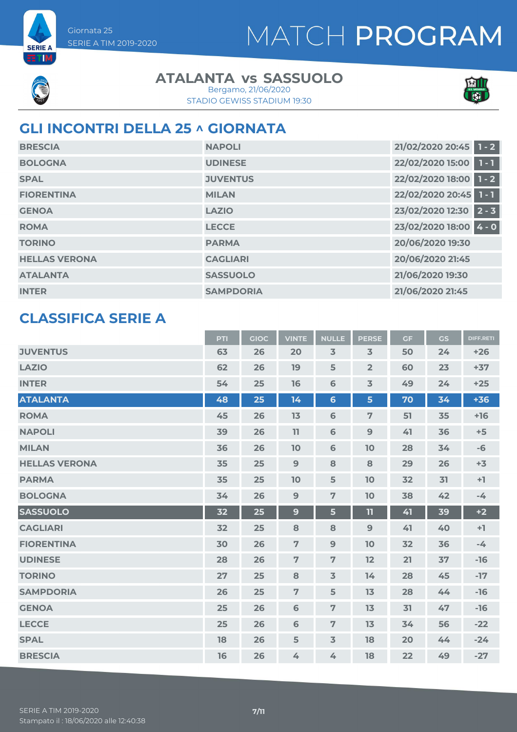



**SERIE A** ETM

#### **ATALANTA vs SASSUOLO**

STADIO GEWISS STADIUM 19:30 Bergamo, 21/06/2020



### **GLI INCONTRI DELLA 25 ^ GIORNATA**

| <b>BRESCIA</b>       | <b>NAPOLI</b>    | 21/02/2020 20:45 1 - 2      |
|----------------------|------------------|-----------------------------|
| <b>BOLOGNA</b>       | <b>UDINESE</b>   | 22/02/2020 15:00 1 - 1      |
| <b>SPAL</b>          | <b>JUVENTUS</b>  | 22/02/2020 18:00 1 - 2      |
| <b>FIORENTINA</b>    | <b>MILAN</b>     | 22/02/2020 20:45 1 - 1      |
| <b>GENOA</b>         | <b>LAZIO</b>     | 23/02/2020 12:30<br>$2 - 3$ |
| <b>ROMA</b>          | <b>LECCE</b>     | 23/02/2020 18:00 4 - 0      |
| <b>TORINO</b>        | <b>PARMA</b>     | 20/06/2020 19:30            |
| <b>HELLAS VERONA</b> | <b>CAGLIARI</b>  | 20/06/2020 21:45            |
| <b>ATALANTA</b>      | <b>SASSUOLO</b>  | 21/06/2020 19:30            |
| <b>INTER</b>         | <b>SAMPDORIA</b> | 21/06/2020 21:45            |

#### **CLASSIFICA SERIE A**

|                      | <b>PTI</b> | <b>GIOC</b> | <b>VINTE</b>   | <b>NULLE</b>            | <b>PERSE</b>            | <b>GF</b> | GS | <b>DIFF.RETI</b> |
|----------------------|------------|-------------|----------------|-------------------------|-------------------------|-----------|----|------------------|
| <b>JUVENTUS</b>      | 63         | 26          | 20             | $\overline{\mathbf{3}}$ | $\overline{\mathbf{3}}$ | 50        | 24 | $+26$            |
| <b>LAZIO</b>         | 62         | 26          | 19             | 5                       | $\overline{2}$          | 60        | 23 | $+37$            |
| <b>INTER</b>         | 54         | 25          | 16             | $\mathbf 6$             | $\overline{3}$          | 49        | 24 | $+25$            |
| <b>ATALANTA</b>      | 48         | 25          | 14             | $6\phantom{1}6$         | 5                       | 70        | 34 | $+36$            |
| <b>ROMA</b>          | 45         | 26          | 13             | $\mathbf 6$             | $\overline{7}$          | 51        | 35 | $+16$            |
| <b>NAPOLI</b>        | 39         | 26          | 11             | 6                       | 9                       | 41        | 36 | $+5$             |
| <b>MILAN</b>         | 36         | 26          | 10             | $\mathbf 6$             | 10                      | 28        | 34 | $-6$             |
| <b>HELLAS VERONA</b> | 35         | 25          | 9              | 8                       | 8                       | 29        | 26 | $+3$             |
| <b>PARMA</b>         | 35         | 25          | 10             | 5                       | 10                      | 32        | 31 | $+1$             |
| <b>BOLOGNA</b>       | 34         | 26          | $\overline{9}$ | $\overline{7}$          | 10                      | 38        | 42 | $-4$             |
| <b>SASSUOLO</b>      | 32         | 25          | 9              | 5                       | $\mathbf{H}$            | 41        | 39 | $+2$             |
| <b>CAGLIARI</b>      | 32         | 25          | 8              | 8                       | 9                       | 41        | 40 | $+1$             |
| <b>FIORENTINA</b>    | 30         | 26          | $\overline{7}$ | $\mathbf{9}$            | 10                      | 32        | 36 | $-4$             |
| <b>UDINESE</b>       | 28         | 26          | $\overline{7}$ | $\overline{7}$          | 12                      | 21        | 37 | $-16$            |
| <b>TORINO</b>        | 27         | 25          | 8              | $\overline{3}$          | 14                      | 28        | 45 | $-17$            |
| <b>SAMPDORIA</b>     | 26         | 25          | $\overline{7}$ | 5                       | 13                      | 28        | 44 | $-16$            |
| <b>GENOA</b>         | 25         | 26          | 6              | $\overline{7}$          | 13                      | 31        | 47 | $-16$            |
| <b>LECCE</b>         | 25         | 26          | 6              | $\overline{7}$          | 13                      | 34        | 56 | $-22$            |
| <b>SPAL</b>          | 18         | 26          | 5              | $\overline{3}$          | 18                      | 20        | 44 | $-24$            |
| <b>BRESCIA</b>       | 16         | 26          | 4              | 4                       | 18                      | 22        | 49 | $-27$            |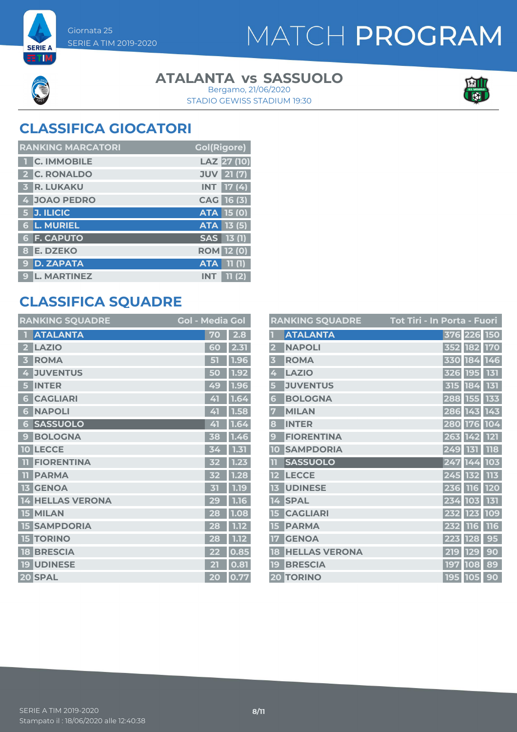



**SERIE A** ETIM

#### **ATALANTA vs SASSUOLO**

STADIO GEWISS STADIUM 19:30 Bergamo, 21/06/2020



### **CLASSIFICA GIOCATORI**

| <b>RANKING MARCATORI</b>      | <b>Gol(Rigore)</b>          |
|-------------------------------|-----------------------------|
| <b>C. IMMOBILE</b>            | LAZ 27 (10)                 |
| 2 C. RONALDO                  | <b>JUV</b> 21 (7)           |
| <b>R. LUKAKU</b>              | <b>17 (4)</b><br><b>INT</b> |
| 4 JOAO PEDRO                  | CAG 16 (3)                  |
| 5 J. ILICIC                   | <b>ATA 15 (0)</b>           |
| <b>L. MURIEL</b><br>$\bullet$ | ATA 13 (5)                  |
| <b>6 F. CAPUTO</b>            | SAS 13(1)                   |
| <b>E. DZEKO</b><br>8          | <b>ROM 12 (0)</b>           |
| <b>D. ZAPATA</b><br>9         | 11(1)<br><b>ATA</b>         |
| <b>L. MARTINEZ</b><br>9       | <b>INT</b><br>11 (2)        |

### **CLASSIFICA SQUADRE**

|              | <b>RANKING SQUADRE</b> | <b>Gol - Media Gol</b> |      |
|--------------|------------------------|------------------------|------|
|              | <b>ATALANTA</b>        | 70                     | 2.8  |
| 2            | <b>LAZIO</b>           | 60                     | 2.31 |
|              | <b>ROMA</b>            | 51                     | 1.96 |
| 4            | <b>JUVENTUS</b>        | 50                     | 1.92 |
| 5            | <b>INTER</b>           | 49                     | 1.96 |
| 6            | <b>CAGLIARI</b>        | 41                     | 1.64 |
| 6            | <b>NAPOLI</b>          | 41                     | 1.58 |
| 6            | <b>SASSUOLO</b>        | 41                     | 1.64 |
| $\mathbf{C}$ | <b>BOLOGNA</b>         | 38                     | 1.46 |
| 10           | <b>LECCE</b>           | 34                     | 1.31 |
|              | <b>FIORENTINA</b>      | 32                     | 1.23 |
| TT           | <b>PARMA</b>           |                        | 1.28 |
| 13           | <b>GENOA</b>           | 31                     | 1.19 |
| 14           | <b>HELLAS VERONA</b>   | 29                     | 1.16 |
| 15           | <b>MILAN</b>           | 28                     | 1.08 |
| 15           | <b>SAMPDORIA</b>       | 28                     | 1.12 |
| 15           | <b>TORINO</b>          | 28                     | 1.12 |
| 18           | <b>BRESCIA</b>         | 22                     | 0.85 |
| 19           | <b>UDINESE</b>         | 21                     | 0.81 |
|              | 20 SPAL                | 20                     | 0.77 |

|                         | <b>RANKING SQUADRE</b> | Tot Tiri - In Porta - Fuori |             |            |     |
|-------------------------|------------------------|-----------------------------|-------------|------------|-----|
|                         | <b>ATALANTA</b>        |                             | 376 226 150 |            |     |
| $\overline{2}$          | <b>NAPOLI</b>          |                             | 352 182 170 |            |     |
| $\overline{\mathbf{3}}$ | <b>ROMA</b>            |                             | 330 184 146 |            |     |
| 4                       | <b>LAZIO</b>           |                             | 326 195 131 |            |     |
| 5                       | <b>JUVENTUS</b>        |                             | 315 184     |            | 131 |
| 6                       | <b>BOLOGNA</b>         |                             | 288 155     |            | 133 |
| 7                       | <b>MILAN</b>           |                             | 286 143 143 |            |     |
| 8                       | <b>INTER</b>           |                             | 280 176 104 |            |     |
| 9                       | <b>FIORENTINA</b>      |                             | 263 142 121 |            |     |
| 10                      | <b>SAMPDORIA</b>       |                             | 249 131     |            | 118 |
| m                       | <b>SASSUOLO</b>        |                             | 247 144     |            | 103 |
| 12                      | <b>LECCE</b>           |                             | 245 132 113 |            |     |
| 13                      | <b>UDINESE</b>         |                             | 236 116 120 |            |     |
| 14                      | <b>SPAL</b>            |                             | 234 103 131 |            |     |
| 15                      | <b>CAGLIARI</b>        |                             | 232 123 109 |            |     |
| 15                      | <b>PARMA</b>           |                             | 232         | <b>116</b> | 116 |
| 17                      | <b>GENOA</b>           |                             | 223 128     |            | 95  |
| 18                      | <b>HELLAS VERONA</b>   |                             | 219         | <b>129</b> | 90  |
| 19                      | <b>BRESCIA</b>         |                             | 197 108     |            | 89  |
|                         | <b>20 TORINO</b>       |                             | 195 105     |            | 90  |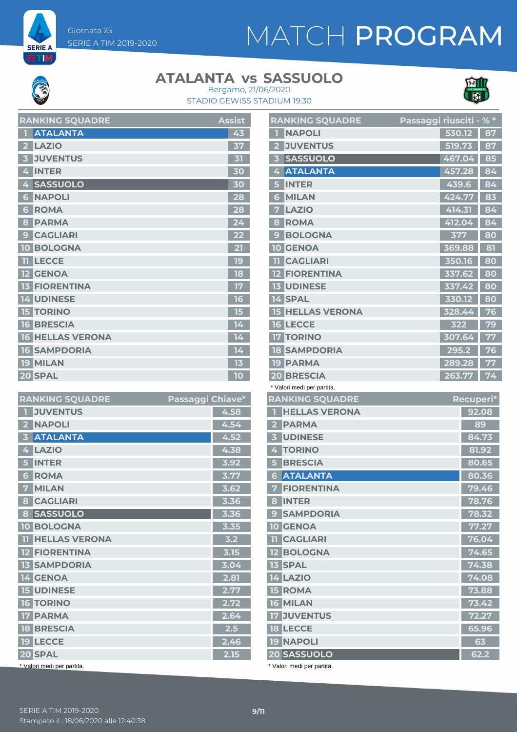Giornata 25 SERIE A TIM 2019-2020

**SERIE A** ETM

# MATCH PROGRAM

#### **ATALANTA vs SASSUOLO**



STADIO GEWISS STADIUM 19:30 Bergamo, 21/06/2020

| <b>RANKING SQUADRE</b>       | Assist |
|------------------------------|--------|
| <b>ATALANTA</b>              | 43     |
| <b>LAZIO</b><br>$\mathbf{z}$ | 37     |
| <b>JUVENTUS</b>              | 31     |
| <b>INTER</b><br>4            | 30     |
| <b>SASSUOLO</b>              | 30     |
| <b>NAPOLI</b><br>6           | 28     |
| <b>ROMA</b><br>6             | 28     |
| <b>PARMA</b><br>8            | 24     |
| <b>CAGLIARI</b><br>9         | 22     |
| <b>BOLOGNA</b><br>10         | 21     |
| <b>LECCE</b>                 | 19     |
| <b>12 GENOA</b>              | 18     |
| <b>13 FIORENTINA</b>         | 17     |
| <b>14 UDINESE</b>            | 16     |
| <b>TORINO</b><br>15          | 15     |
| <b>BRESCIA</b><br><b>16</b>  | 14     |
| <b>16 HELLAS VERONA</b>      | 14     |
| <b>SAMPDORIA</b><br>16       | 14     |
| <b>MILAN</b><br>19           | 13     |
| 20 SPAL                      | 10     |

| <b>RANKING SQUADRE</b>                   | Passaggi Chiave* |      |
|------------------------------------------|------------------|------|
| <b>JUVENTUS</b>                          |                  | 4.58 |
| <b>NAPOLI</b><br>$\overline{\mathbf{2}}$ |                  | 4.54 |
| <b>ATALANTA</b><br>3                     |                  | 4.52 |
| <b>LAZIO</b><br>4                        |                  | 4.38 |
| <b>INTER</b><br>5                        |                  | 3.92 |
| <b>ROMA</b><br>6                         |                  | 3.77 |
| <b>MILAN</b><br>7                        |                  | 3.62 |
| <b>CAGLIARI</b><br>8                     |                  | 3.36 |
| <b>SASSUOLO</b><br>8                     |                  | 3.36 |
| <b>10 BOLOGNA</b>                        |                  | 3.35 |
| <b>TI HELLAS VERONA</b>                  |                  | 3.2  |
| <b>12 FIORENTINA</b>                     |                  | 3.15 |
| <b>13 SAMPDORIA</b>                      |                  | 3.04 |
| 14 GENOA                                 |                  | 2.81 |
| <b>15 UDINESE</b>                        |                  | 2.77 |
| <b>16 TORINO</b>                         |                  | 2.72 |
| <b>PARMA</b><br>17 <sup>1</sup>          |                  | 2.64 |
| <b>18 BRESCIA</b>                        |                  | 2.5  |
| 19 LECCE                                 |                  | 2.46 |
| 20 SPAL                                  |                  | 2.15 |
| * Valori medi per partita.               |                  |      |

|                   | <b>RANKING SQUADRE</b>     | Passaggi riusciti - % * |        |  |           |
|-------------------|----------------------------|-------------------------|--------|--|-----------|
|                   | <b>NAPOLI</b>              |                         | 530.12 |  | 87        |
| $\mathbf{2}$      | <b>JUVENTUS</b>            |                         | 519.73 |  | 87        |
| 3                 | <b>SASSUOLO</b>            |                         | 467.04 |  | 85        |
| 4                 | <b>ATALANTA</b>            |                         | 457.28 |  | 84        |
| 5                 | <b>INTER</b>               |                         | 439.6  |  | 84        |
| 6                 | <b>MILAN</b>               |                         | 424.77 |  | 83        |
| 7                 | <b>LAZIO</b>               |                         | 414.31 |  | 84        |
| 8                 | <b>ROMA</b>                |                         | 412.04 |  | 84        |
| 9                 | <b>BOLOGNA</b>             |                         | 377    |  | 80        |
|                   | <b>10 GENOA</b>            |                         | 369.88 |  | 81        |
| ш                 | <b>CAGLIARI</b>            |                         | 350.16 |  | 80        |
| $12 \overline{ }$ | <b>FIORENTINA</b>          |                         | 337.62 |  | 80        |
| 13 <sup>1</sup>   | <b>UDINESE</b>             |                         | 337.42 |  | 80        |
|                   | 14 SPAL                    |                         | 330.12 |  | 80        |
| 15                | <b>HELLAS VERONA</b>       |                         | 328.44 |  | 76        |
|                   | <b>16 LECCE</b>            |                         | 322    |  | 79        |
| 17                | <b>TORINO</b>              |                         | 307.64 |  | 77        |
|                   | <b>18 SAMPDORIA</b>        |                         | 295.2  |  | 76        |
|                   | <b>19 PARMA</b>            |                         | 289.28 |  | 77        |
|                   | <b>20 BRESCIA</b>          |                         | 263.77 |  | 74        |
|                   | * Valori medi per partita. |                         |        |  |           |
|                   | <b>RANKING SQUADRE</b>     |                         |        |  | Recuperi* |
| П                 | <b>HELLAS VERONA</b>       |                         |        |  | 92.08     |
|                   | 2 PARMA                    |                         |        |  | 89        |
|                   | <b>3 UDINESE</b>           |                         |        |  | 84.73     |
|                   | 4 TORINO                   |                         |        |  | 81.92     |
| 5                 | <b>BRESCIA</b>             |                         |        |  | 80.65     |
|                   | <b>6 ATALANTA</b>          |                         |        |  | 80.36     |
|                   | <b>7 FIORENTINA</b>        |                         |        |  | 79.46     |
|                   | 8 INTER                    |                         |        |  | 78.76     |
|                   | <b>9 SAMPDORIA</b>         |                         |        |  | 78.32     |
|                   | <b>10 GENOA</b>            |                         |        |  | 77.27     |
|                   | <b>TI</b> CAGLIARI         |                         |        |  | 76.04     |
|                   | <b>12 BOLOGNA</b>          |                         |        |  | 74.65     |
|                   | <b>13 SPAL</b>             |                         |        |  | 74.38     |
|                   | 14 LAZIO                   |                         |        |  | 74.08     |
|                   | <b>15 ROMA</b>             |                         |        |  | 73.88     |
|                   | <b>16 MILAN</b>            |                         |        |  | 73.42     |
|                   | <b>17 JUVENTUS</b>         |                         |        |  | 72.27     |
|                   | <b>18 LECCE</b>            |                         |        |  | 65.96     |
|                   | <b>19 NAPOLI</b>           |                         |        |  | 63        |
|                   | 20 SASSUOLO                |                         |        |  | 62.2      |

\* Valori medi per partita.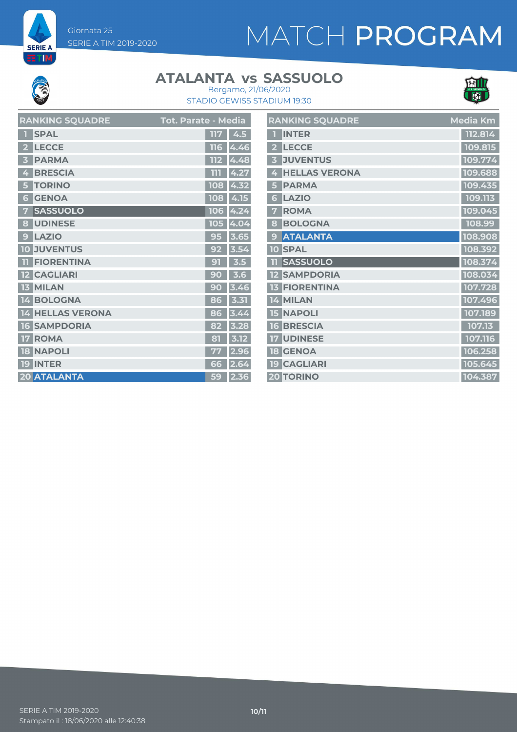Giornata 25 SERIE A TIM 2019-2020

# MATCH PROGRAM



**SERIE A ET M** 

#### **ATALANTA vs SASSUOLO**



STADIO GEWISS STADIUM 19:30 Bergamo, 21/06/2020

|   | <b>RANKING SQUADRE</b>  | Tot. Parate - Media |          |   | <b>RANKING SQL</b>  |
|---|-------------------------|---------------------|----------|---|---------------------|
|   | <b>SPAL</b>             | 117                 | 4.5      |   | <b>INTER</b>        |
|   | <b>LECCE</b>            | 116                 | 4.46     |   | <b>LECCE</b>        |
|   | <b>PARMA</b>            | 112                 | 4.48     |   | <b>JUVENTUS</b>     |
|   | <b>BRESCIA</b>          | 111                 | 4.27     |   | <b>HELLAS VE</b>    |
|   | <b>TORINO</b>           | 108                 | 4.32     |   | <b>PARMA</b>        |
| 6 | <b>GENOA</b>            | 108                 | 4.15     | 6 | <b>LAZIO</b>        |
|   | <b>SASSUOLO</b>         |                     | 106 4.24 |   | <b>ROMA</b>         |
|   | 8 UDINESE               |                     | 105 4.04 | 8 | <b>BOLOGNA</b>      |
| 9 | <b>LAZIO</b>            | 95                  | 3.65     |   | <b>ATALANTA</b>     |
|   | <b>10 JUVENTUS</b>      | 92                  | 3.54     |   | <b>10 SPAL</b>      |
|   | <b>FIORENTINA</b>       | 91                  | 3.5      |   | <b>SASSUOLC</b>     |
|   | <b>12 CAGLIARI</b>      | 90                  | 3.6      |   | <b>12 SAMPDOR</b>   |
|   | <b>13 MILAN</b>         | 90                  | 3.46     |   | <b>13 FIORENTIN</b> |
|   | 14 BOLOGNA              | 86                  | 3.31     |   | 14 MILAN            |
|   | <b>14 HELLAS VERONA</b> | 86                  | 3.44     |   | <b>15 NAPOLI</b>    |
|   | <b>16 SAMPDORIA</b>     | 82                  | 3.28     |   | <b>16 BRESCIA</b>   |
|   | <b>17 ROMA</b>          | 81                  | 3.12     |   | <b>17 UDINESE</b>   |
|   | <b>18 NAPOLI</b>        | 77                  | 2.96     |   | <b>18 GENOA</b>     |
|   | <b>19 INTER</b>         | 66                  | 2.64     |   | <b>19 CAGLIARI</b>  |
|   | 20 ATALANTA             | 59                  | 2.36     |   | <b>20 TORINO</b>    |
|   |                         |                     |          |   |                     |

|                         | <b>RANKING SQUADRE</b> | Media Km |
|-------------------------|------------------------|----------|
| П                       | <b>INTER</b>           | 112.814  |
| $\overline{2}$          | <b>LECCE</b>           | 109.815  |
| $\overline{\mathbf{3}}$ | <b>JUVENTUS</b>        | 109.774  |
| 4                       | <b>HELLAS VERONA</b>   | 109.688  |
| 5                       | <b>PARMA</b>           | 109.435  |
| 6                       | <b>LAZIO</b>           | 109.113  |
| 7                       | <b>ROMA</b>            | 109.045  |
| 8                       | <b>BOLOGNA</b>         | 108.99   |
| 9                       | <b>ATALANTA</b>        | 108.908  |
|                         | <b>10 SPAL</b>         | 108.392  |
| 11                      | <b>SASSUOLO</b>        | 108.374  |
|                         | <b>12 SAMPDORIA</b>    | 108.034  |
|                         | <b>13 FIORENTINA</b>   | 107.728  |
|                         | 14 MILAN               | 107.496  |
|                         | <b>15 NAPOLI</b>       | 107.189  |
|                         | <b>16 BRESCIA</b>      | 107.13   |
|                         | <b>17 UDINESE</b>      | 107.116  |
|                         | <b>18 GENOA</b>        | 106.258  |
|                         | <b>19 CAGLIARI</b>     | 105.645  |
|                         | <b>20 TORINO</b>       | 104.387  |